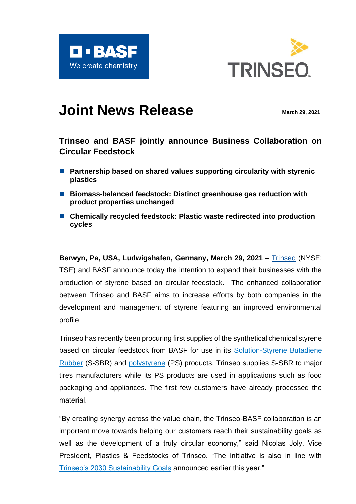



# **Joint News Release** March 29, 2021

## **Trinseo and BASF jointly announce Business Collaboration on Circular Feedstock**

- Partnership based on shared values supporting circularity with styrenic **plastics**
- Biomass-balanced feedstock: Distinct greenhouse gas reduction with **product properties unchanged**
- Chemically recycled feedstock: Plastic waste redirected into production **cycles**

**Berwyn, Pa, USA, Ludwigshafen, Germany, March 29, 2021** – [Trinseo](http://www.trinseo.com/) (NYSE: TSE) and BASF announce today the intention to expand their businesses with the production of styrene based on circular feedstock. The enhanced collaboration between Trinseo and BASF aims to increase efforts by both companies in the development and management of styrene featuring an improved environmental profile.

Trinseo has recently been procuring first supplies of the synthetical chemical styrene based on circular feedstock from BASF for use in its [Solution-Styrene Butadiene](https://www.trinseo.com/Products/Synthetic-Rubber/Products/Solution-Styrene-Butadiene-Rubber-SSBR)  [Rubber](https://www.trinseo.com/Products/Synthetic-Rubber/Products/Solution-Styrene-Butadiene-Rubber-SSBR) (S-SBR) and [polystyrene](https://www.trinseo.com/Products/Plastics/Products/Polystyrene) (PS) products. Trinseo supplies S-SBR to major tires manufacturers while its PS products are used in applications such as food packaging and appliances. The first few customers have already processed the material.

"By creating synergy across the value chain, the Trinseo-BASF collaboration is an important move towards helping our customers reach their sustainability goals as well as the development of a truly circular economy," said Nicolas Joly, Vice President, Plastics & Feedstocks of Trinseo. "The initiative is also in line with [Trinseo's 2030 Sustainability Goals](https://www.trinseo.com/Sustainability/Trinseo-2030-Sustainability-Goals) announced earlier this year."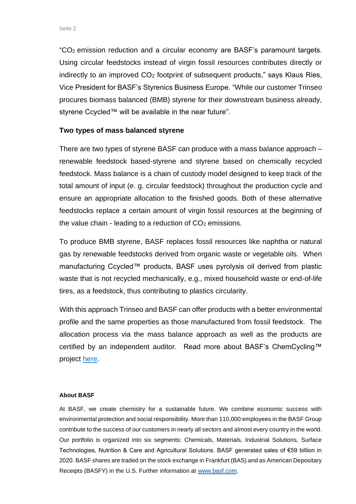"CO2 emission reduction and a circular economy are BASF's paramount targets. Using circular feedstocks instead of virgin fossil resources contributes directly or indirectly to an improved CO<sub>2</sub> footprint of subsequent products," says Klaus Ries, Vice President for BASF's Styrenics Business Europe. "While our customer Trinseo procures biomass balanced (BMB) styrene for their downstream business already, styrene Ccycled™ will be available in the near future".

### **Two types of mass balanced styrene**

There are two types of styrene BASF can produce with a mass balance approach – renewable feedstock based-styrene and styrene based on chemically recycled feedstock. Mass balance is a chain of custody model designed to keep track of the total amount of input (e. g. circular feedstock) throughout the production cycle and ensure an appropriate allocation to the finished goods. Both of these alternative feedstocks replace a certain amount of virgin fossil resources at the beginning of the value chain - leading to a reduction of  $CO<sub>2</sub>$  emissions.

To produce BMB styrene, BASF replaces fossil resources like naphtha or natural gas by renewable feedstocks derived from organic waste or vegetable oils. When manufacturing Ccycled™ products, BASF uses pyrolysis oil derived from plastic waste that is not recycled mechanically, e.g., mixed household waste or end-of-life tires, as a feedstock, thus contributing to plastics circularity.

With this approach Trinseo and BASF can offer products with a better environmental profile and the same properties as those manufactured from fossil feedstock. The allocation process via the mass balance approach as well as the products are certified by an independent auditor. Read more about BASF's ChemCycling™ project [here.](https://www.basf.com/global/en/who-we-are/sustainability/we-drive-sustainable-solutions/circular-economy/mass-balance-approach/chemcycling.html)

#### **About BASF**

At BASF, we create chemistry for a sustainable future. We combine economic success with environmental protection and social responsibility. More than 110,000 employees in the BASF Group contribute to the success of our customers in nearly all sectors and almost every country in the world. Our portfolio is organized into six segments: Chemicals, Materials, Industrial Solutions, Surface Technologies, Nutrition & Care and Agricultural Solutions. BASF generated sales of €59 billion in 2020. BASF shares are traded on the stock exchange in Frankfurt (BAS) and as American Depositary Receipts (BASFY) in the U.S. Further information at [www.basf.com.](http://www.basf.com/)